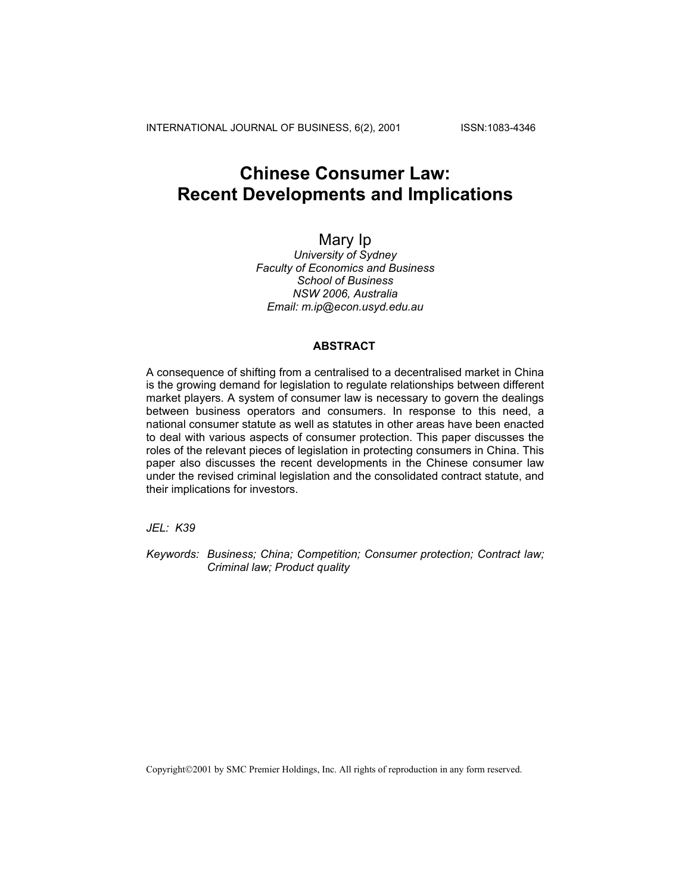INTERNATIONAL JOURNAL OF BUSINESS, 6(2), 2001 ISSN:1083-4346

# **Chinese Consumer Law: Recent Developments and Implications**

# Mary Ip

*University of Sydney Faculty of Economics and Business School of Business NSW 2006, Australia Email: m.ip@econ.usyd.edu.au*

### **ABSTRACT**

A consequence of shifting from a centralised to a decentralised market in China is the growing demand for legislation to regulate relationships between different market players. A system of consumer law is necessary to govern the dealings between business operators and consumers. In response to this need, a national consumer statute as well as statutes in other areas have been enacted to deal with various aspects of consumer protection. This paper discusses the roles of the relevant pieces of legislation in protecting consumers in China. This paper also discusses the recent developments in the Chinese consumer law under the revised criminal legislation and the consolidated contract statute, and their implications for investors.

*JEL: K39* 

*Keywords: Business; China; Competition; Consumer protection; Contract law; Criminal law; Product quality*

Copyright©2001 by SMC Premier Holdings, Inc. All rights of reproduction in any form reserved.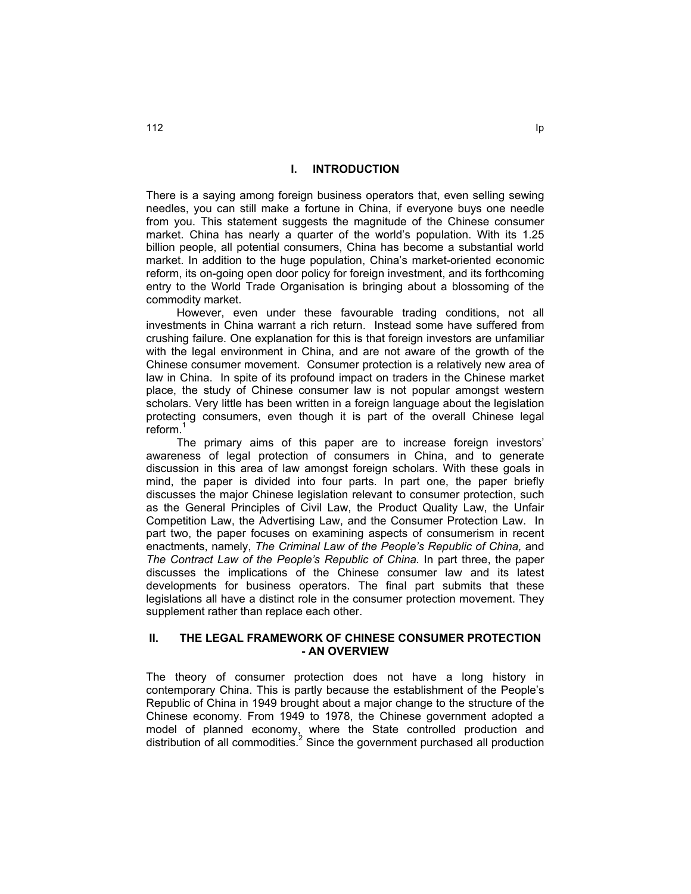#### **I. INTRODUCTION**

There is a saying among foreign business operators that, even selling sewing needles, you can still make a fortune in China, if everyone buys one needle from you. This statement suggests the magnitude of the Chinese consumer market. China has nearly a quarter of the world's population. With its 1.25 billion people, all potential consumers, China has become a substantial world market. In addition to the huge population, China's market-oriented economic reform, its on-going open door policy for foreign investment, and its forthcoming entry to the World Trade Organisation is bringing about a blossoming of the commodity market.

However, even under these favourable trading conditions, not all investments in China warrant a rich return. Instead some have suffered from crushing failure. One explanation for this is that foreign investors are unfamiliar with the legal environment in China, and are not aware of the growth of the Chinese consumer movement. Consumer protection is a relatively new area of law in China. In spite of its profound impact on traders in the Chinese market place, the study of Chinese consumer law is not popular amongst western scholars. Very little has been written in a foreign language about the legislation protecting consumers, even though it is part of the overall Chinese legal reform.<sup>1</sup>

The primary aims of this paper are to increase foreign investors' awareness of legal protection of consumers in China, and to generate discussion in this area of law amongst foreign scholars. With these goals in mind, the paper is divided into four parts. In part one, the paper briefly discusses the major Chinese legislation relevant to consumer protection, such as the General Principles of Civil Law, the Product Quality Law, the Unfair Competition Law, the Advertising Law, and the Consumer Protection Law. In part two, the paper focuses on examining aspects of consumerism in recent enactments, namely, *The Criminal Law of the People's Republic of China,* and *The Contract Law of the People's Republic of China.* In part three, the paper discusses the implications of the Chinese consumer law and its latest developments for business operators. The final part submits that these legislations all have a distinct role in the consumer protection movement. They supplement rather than replace each other.

## **II. THE LEGAL FRAMEWORK OF CHINESE CONSUMER PROTECTION - AN OVERVIEW**

The theory of consumer protection does not have a long history in contemporary China. This is partly because the establishment of the People's Republic of China in 1949 brought about a major change to the structure of the Chinese economy. From 1949 to 1978, the Chinese government adopted a model of planned economy, where the State controlled production and distribution of all commodities. $^2$  Since the government purchased all production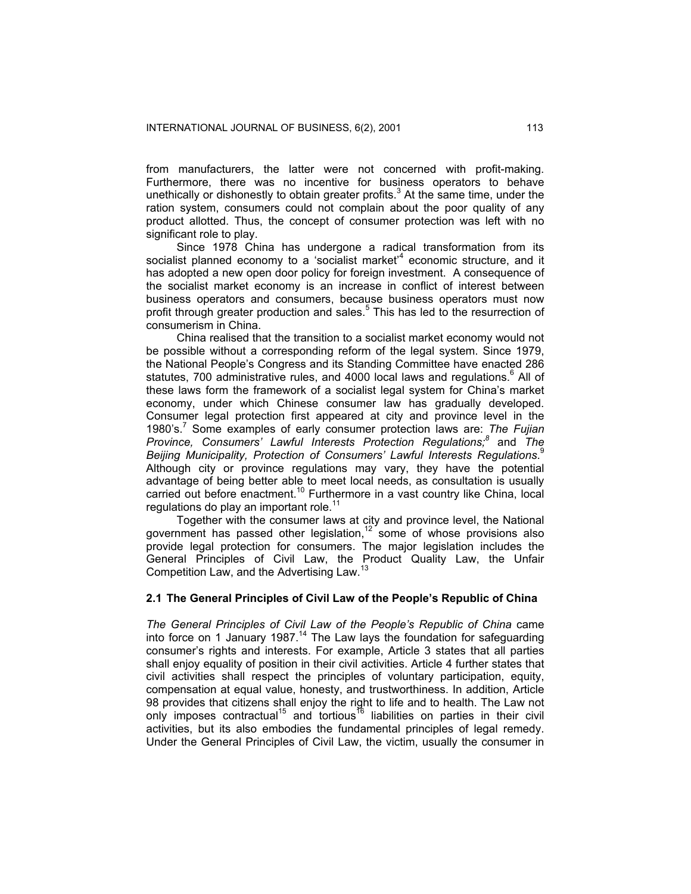from manufacturers, the latter were not concerned with profit-making. Furthermore, there was no incentive for business operators to behave unethically or dishonestly to obtain greater profits.<sup>3</sup> At the same time, under the ration system, consumers could not complain about the poor quality of any product allotted. Thus, the concept of consumer protection was left with no significant role to play.

Since 1978 China has undergone a radical transformation from its socialist planned economy to a 'socialist market'<sup>4</sup> economic structure, and it has adopted a new open door policy for foreign investment. A consequence of the socialist market economy is an increase in conflict of interest between business operators and consumers, because business operators must now profit through greater production and sales.<sup>5</sup> This has led to the resurrection of consumerism in China.

China realised that the transition to a socialist market economy would not be possible without a corresponding reform of the legal system. Since 1979, the National People's Congress and its Standing Committee have enacted 286 statutes, 700 administrative rules, and 4000 local laws and regulations.<sup>6</sup> All of these laws form the framework of a socialist legal system for China's market economy, under which Chinese consumer law has gradually developed. Consumer legal protection first appeared at city and province level in the 1980's.7 Some examples of early consumer protection laws are: *The Fujian Province, Consumers' Lawful Interests Protection Regulations;8* and *The Beijing Municipality, Protection of Consumers' Lawful Interests Regulations*. 9 Although city or province regulations may vary, they have the potential advantage of being better able to meet local needs, as consultation is usually carried out before enactment.<sup>10</sup> Furthermore in a vast country like China, local regulations do play an important role. $11$ 

Together with the consumer laws at city and province level, the National government has passed other legislation,  $12$  some of whose provisions also provide legal protection for consumers. The major legislation includes the General Principles of Civil Law, the Product Quality Law, the Unfair Competition Law, and the Advertising Law.<sup>13</sup>

#### **2.1 The General Principles of Civil Law of the People's Republic of China**

*The General Principles of Civil Law of the People's Republic of China* came into force on 1 January 1987.14 The Law lays the foundation for safeguarding consumer's rights and interests. For example, Article 3 states that all parties shall enjoy equality of position in their civil activities. Article 4 further states that civil activities shall respect the principles of voluntary participation, equity, compensation at equal value, honesty, and trustworthiness. In addition, Article 98 provides that citizens shall enjoy the right to life and to health. The Law not only imposes contractual<sup>15</sup> and tortious<sup>16</sup> liabilities on parties in their civil activities, but its also embodies the fundamental principles of legal remedy. Under the General Principles of Civil Law, the victim, usually the consumer in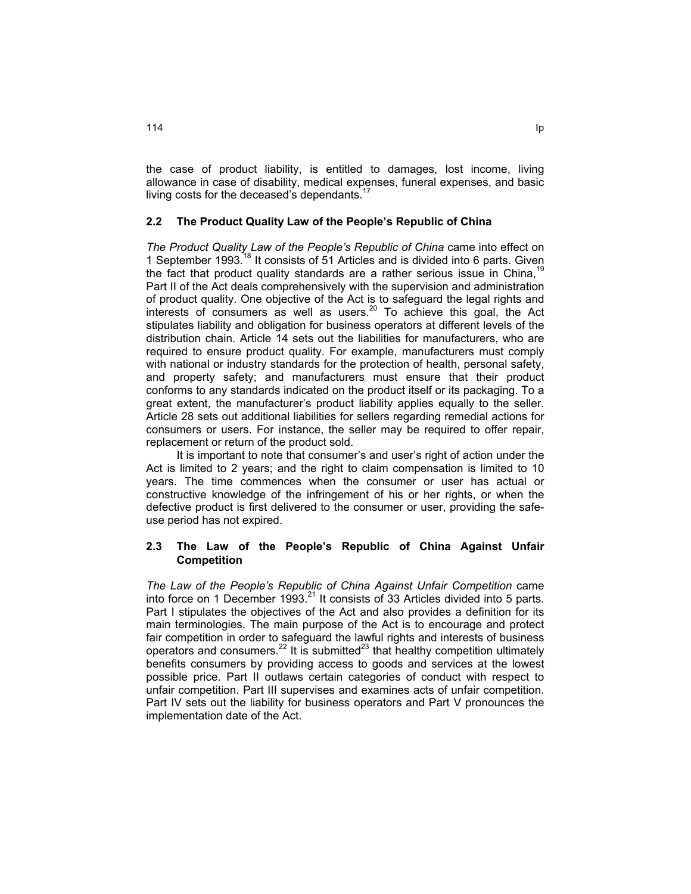the case of product liability, is entitled to damages, lost income, living allowance in case of disability, medical expenses, funeral expenses, and basic living costs for the deceased's dependants. $<sup>1</sup>$ </sup>

# **2.2 The Product Quality Law of the People's Republic of China**

*The Product Quality Law of the People's Republic of China* came into effect on 1 September 1993.<sup>18</sup> It consists of 51 Articles and is divided into 6 parts. Given the fact that product quality standards are a rather serious issue in China.<sup>19</sup> Part II of the Act deals comprehensively with the supervision and administration of product quality. One objective of the Act is to safeguard the legal rights and interests of consumers as well as users.<sup>20</sup> To achieve this goal, the Act stipulates liability and obligation for business operators at different levels of the distribution chain. Article 14 sets out the liabilities for manufacturers, who are required to ensure product quality. For example, manufacturers must comply with national or industry standards for the protection of health, personal safety, and property safety; and manufacturers must ensure that their product conforms to any standards indicated on the product itself or its packaging. To a great extent, the manufacturer's product liability applies equally to the seller. Article 28 sets out additional liabilities for sellers regarding remedial actions for consumers or users. For instance, the seller may be required to offer repair, replacement or return of the product sold.

It is important to note that consumer's and user's right of action under the Act is limited to 2 years; and the right to claim compensation is limited to 10 years. The time commences when the consumer or user has actual or constructive knowledge of the infringement of his or her rights, or when the defective product is first delivered to the consumer or user, providing the safeuse period has not expired.

# **2.3 The Law of the People's Republic of China Against Unfair Competition**

*The Law of the People's Republic of China Against Unfair Competition* came into force on 1 December 1993. $^{21}$  It consists of 33 Articles divided into 5 parts. Part I stipulates the objectives of the Act and also provides a definition for its main terminologies. The main purpose of the Act is to encourage and protect fair competition in order to safeguard the lawful rights and interests of business operators and consumers.22 It is submitted23 that healthy competition ultimately benefits consumers by providing access to goods and services at the lowest possible price. Part II outlaws certain categories of conduct with respect to unfair competition. Part III supervises and examines acts of unfair competition. Part IV sets out the liability for business operators and Part V pronounces the implementation date of the Act.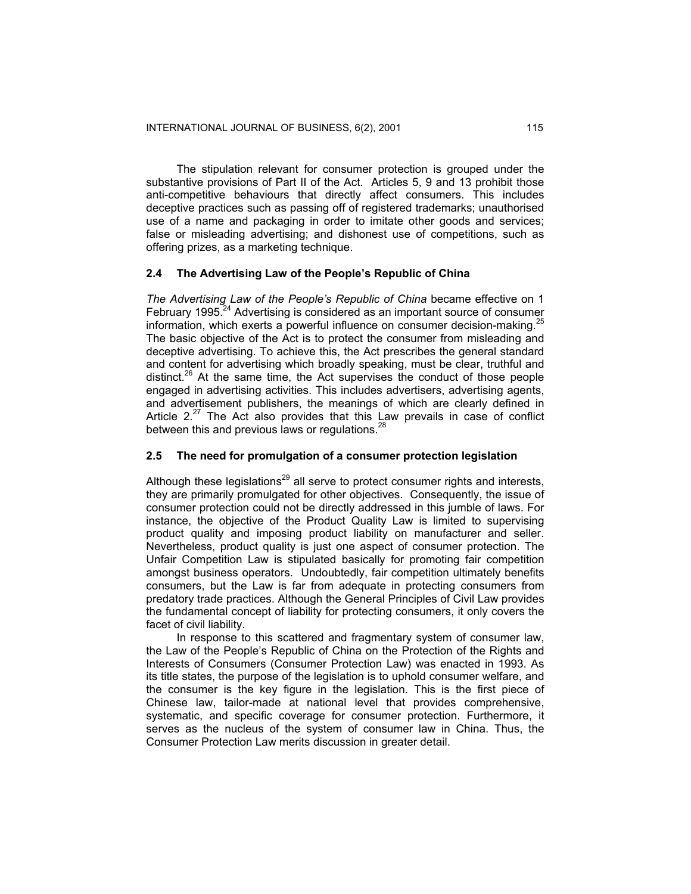The stipulation relevant for consumer protection is grouped under the substantive provisions of Part II of the Act. Articles 5, 9 and 13 prohibit those anti-competitive behaviours that directly affect consumers. This includes deceptive practices such as passing off of registered trademarks; unauthorised use of a name and packaging in order to imitate other goods and services; false or misleading advertising; and dishonest use of competitions, such as offering prizes, as a marketing technique.

#### **2.4 The Advertising Law of the People's Republic of China**

*The Advertising Law of the People's Republic of China* became effective on 1 February 1995.<sup>24</sup> Advertising is considered as an important source of consumer information, which exerts a powerful influence on consumer decision-making.<sup>25</sup> The basic objective of the Act is to protect the consumer from misleading and deceptive advertising. To achieve this, the Act prescribes the general standard and content for advertising which broadly speaking, must be clear, truthful and distinct.<sup>26</sup> At the same time, the Act supervises the conduct of those people engaged in advertising activities. This includes advertisers, advertising agents, and advertisement publishers, the meanings of which are clearly defined in Article  $2.27$  The Act also provides that this Law prevails in case of conflict between this and previous laws or regulations.<sup>28</sup>

# **2.5 The need for promulgation of a consumer protection legislation**

Although these legislations<sup>29</sup> all serve to protect consumer rights and interests, they are primarily promulgated for other objectives. Consequently, the issue of consumer protection could not be directly addressed in this jumble of laws. For instance, the objective of the Product Quality Law is limited to supervising product quality and imposing product liability on manufacturer and seller. Nevertheless, product quality is just one aspect of consumer protection. The Unfair Competition Law is stipulated basically for promoting fair competition amongst business operators. Undoubtedly, fair competition ultimately benefits consumers, but the Law is far from adequate in protecting consumers from predatory trade practices. Although the General Principles of Civil Law provides the fundamental concept of liability for protecting consumers, it only covers the facet of civil liability.

In response to this scattered and fragmentary system of consumer law, the Law of the People's Republic of China on the Protection of the Rights and Interests of Consumers (Consumer Protection Law) was enacted in 1993. As its title states, the purpose of the legislation is to uphold consumer welfare, and the consumer is the key figure in the legislation. This is the first piece of Chinese law, tailor-made at national level that provides comprehensive, systematic, and specific coverage for consumer protection. Furthermore, it serves as the nucleus of the system of consumer law in China. Thus, the Consumer Protection Law merits discussion in greater detail.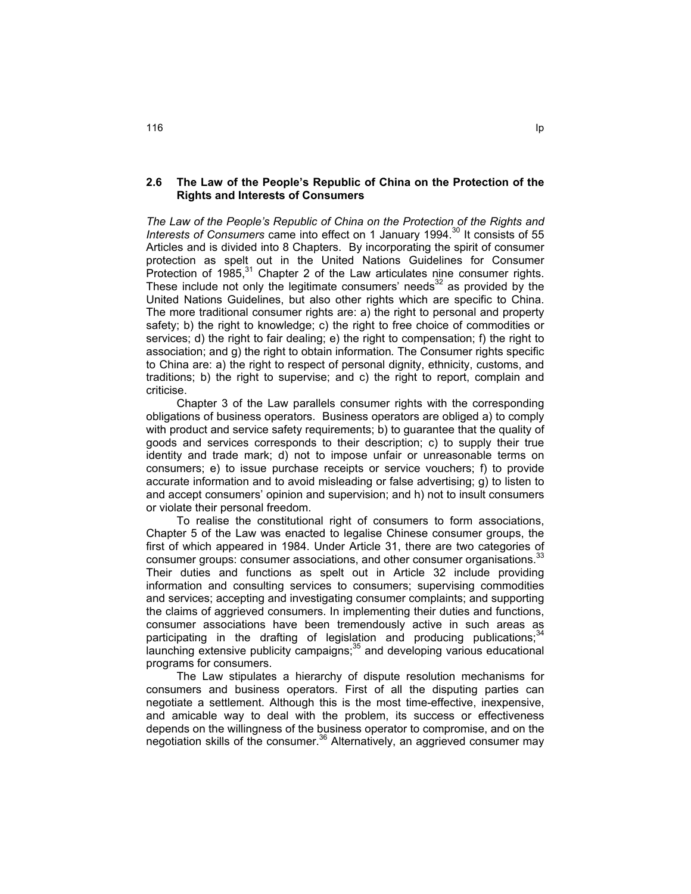# **2.6 The Law of the People's Republic of China on the Protection of the Rights and Interests of Consumers**

*The Law of the People's Republic of China on the Protection of the Rights and*  Interests of Consumers came into effect on 1 January 1994.<sup>30</sup> It consists of 55 Articles and is divided into 8 Chapters. By incorporating the spirit of consumer protection as spelt out in the United Nations Guidelines for Consumer Protection of  $1985$ ,<sup>31</sup> Chapter 2 of the Law articulates nine consumer rights. These include not only the legitimate consumers' needs $^{32}$  as provided by the United Nations Guidelines, but also other rights which are specific to China. The more traditional consumer rights are: a) the right to personal and property safety; b) the right to knowledge; c) the right to free choice of commodities or services; d) the right to fair dealing; e) the right to compensation; f) the right to association; and g) the right to obtain information*.* The Consumer rights specific to China are: a) the right to respect of personal dignity, ethnicity, customs, and traditions; b) the right to supervise; and c) the right to report, complain and criticise.

Chapter 3 of the Law parallels consumer rights with the corresponding obligations of business operators. Business operators are obliged a) to comply with product and service safety requirements; b) to guarantee that the quality of goods and services corresponds to their description; c) to supply their true identity and trade mark; d) not to impose unfair or unreasonable terms on consumers; e) to issue purchase receipts or service vouchers; f) to provide accurate information and to avoid misleading or false advertising; g) to listen to and accept consumers' opinion and supervision; and h) not to insult consumers or violate their personal freedom.

To realise the constitutional right of consumers to form associations, Chapter 5 of the Law was enacted to legalise Chinese consumer groups, the first of which appeared in 1984. Under Article 31, there are two categories of consumer groups: consumer associations, and other consumer organisations.<sup>33</sup> Their duties and functions as spelt out in Article 32 include providing information and consulting services to consumers; supervising commodities and services; accepting and investigating consumer complaints; and supporting the claims of aggrieved consumers. In implementing their duties and functions, consumer associations have been tremendously active in such areas as participating in the drafting of legislation and producing publications:<sup>34</sup> launching extensive publicity campaigns;35 and developing various educational programs for consumers.

The Law stipulates a hierarchy of dispute resolution mechanisms for consumers and business operators. First of all the disputing parties can negotiate a settlement. Although this is the most time-effective, inexpensive, and amicable way to deal with the problem, its success or effectiveness depends on the willingness of the business operator to compromise, and on the negotiation skills of the consumer.<sup>36</sup> Alternatively, an aggrieved consumer may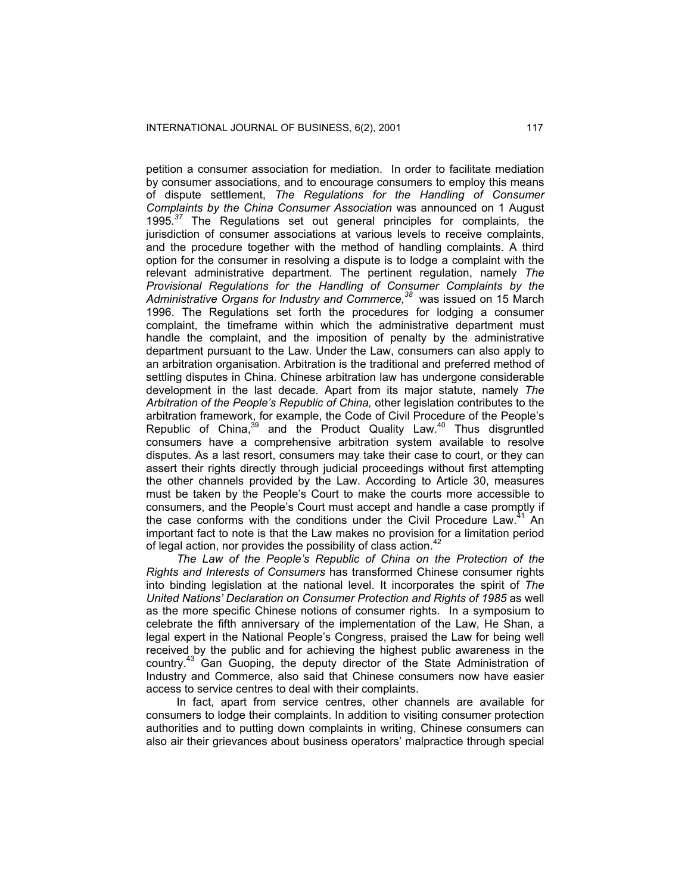petition a consumer association for mediation. In order to facilitate mediation by consumer associations, and to encourage consumers to employ this means of dispute settlement, *The Regulations for the Handling of Consumer Complaints by the China Consumer Association* was announced on 1 August 1995*. <sup>37</sup>* The Regulations set out general principles for complaints, the jurisdiction of consumer associations at various levels to receive complaints, and the procedure together with the method of handling complaints. A third option for the consumer in resolving a dispute is to lodge a complaint with the relevant administrative department. The pertinent regulation, namely *The Provisional Regulations for the Handling of Consumer Complaints by the Administrative Organs for Industry and Commerce,38* was issued on 15 March 1996. The Regulations set forth the procedures for lodging a consumer complaint, the timeframe within which the administrative department must handle the complaint, and the imposition of penalty by the administrative department pursuant to the Law. Under the Law, consumers can also apply to an arbitration organisation. Arbitration is the traditional and preferred method of settling disputes in China. Chinese arbitration law has undergone considerable development in the last decade. Apart from its major statute, namely *The Arbitration of the People's Republic of China,* other legislation contributes to the arbitration framework, for example, the Code of Civil Procedure of the People's Republic of China,<sup>39</sup> and the Product Quality Law.<sup>40</sup> Thus disgruntled consumers have a comprehensive arbitration system available to resolve disputes. As a last resort, consumers may take their case to court, or they can assert their rights directly through judicial proceedings without first attempting the other channels provided by the Law. According to Article 30, measures must be taken by the People's Court to make the courts more accessible to consumers, and the People's Court must accept and handle a case promptly if the case conforms with the conditions under the Civil Procedure Law.<sup>41</sup> An important fact to note is that the Law makes no provision for a limitation period of legal action, nor provides the possibility of class action.<sup>42</sup>

*The Law of the People's Republic of China on the Protection of the Rights and Interests of Consumers* has transformed Chinese consumer rights into binding legislation at the national level. It incorporates the spirit of *The United Nations' Declaration on Consumer Protection and Rights of 1985* as well as the more specific Chinese notions of consumer rights. In a symposium to celebrate the fifth anniversary of the implementation of the Law, He Shan, a legal expert in the National People's Congress, praised the Law for being well received by the public and for achieving the highest public awareness in the country.<sup>43</sup> Gan Guoping, the deputy director of the State Administration of Industry and Commerce, also said that Chinese consumers now have easier access to service centres to deal with their complaints.

In fact, apart from service centres, other channels are available for consumers to lodge their complaints. In addition to visiting consumer protection authorities and to putting down complaints in writing, Chinese consumers can also air their grievances about business operators' malpractice through special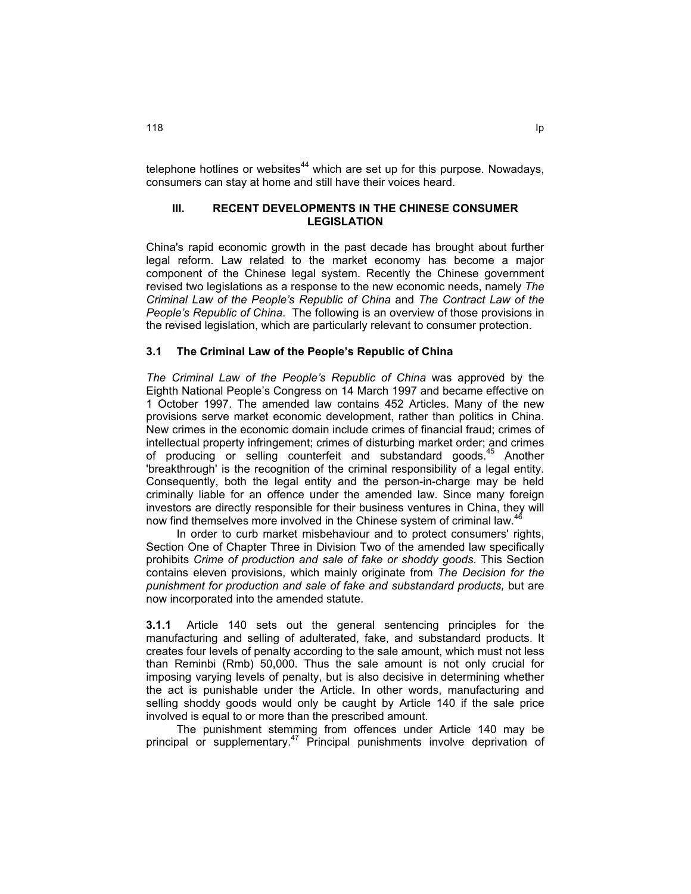telephone hotlines or websites $44$  which are set up for this purpose. Nowadays, consumers can stay at home and still have their voices heard.

#### **III. RECENT DEVELOPMENTS IN THE CHINESE CONSUMER LEGISLATION**

China's rapid economic growth in the past decade has brought about further legal reform. Law related to the market economy has become a major component of the Chinese legal system. Recently the Chinese government revised two legislations as a response to the new economic needs, namely *The Criminal Law of the People's Republic of China* and *The Contract Law of the People's Republic of China*. The following is an overview of those provisions in the revised legislation, which are particularly relevant to consumer protection.

#### **3.1 The Criminal Law of the People's Republic of China**

*The Criminal Law of the People's Republic of China* was approved by the Eighth National People's Congress on 14 March 1997 and became effective on 1 October 1997. The amended law contains 452 Articles. Many of the new provisions serve market economic development, rather than politics in China. New crimes in the economic domain include crimes of financial fraud; crimes of intellectual property infringement; crimes of disturbing market order; and crimes of producing or selling counterfeit and substandard goods.<sup>45</sup> Another 'breakthrough' is the recognition of the criminal responsibility of a legal entity. Consequently, both the legal entity and the person-in-charge may be held criminally liable for an offence under the amended law. Since many foreign investors are directly responsible for their business ventures in China, they will now find themselves more involved in the Chinese system of criminal law.<sup>4</sup>

In order to curb market misbehaviour and to protect consumers' rights, Section One of Chapter Three in Division Two of the amended law specifically prohibits *Crime of production and sale of fake or shoddy goods*. This Section contains eleven provisions, which mainly originate from *The Decision for the punishment for production and sale of fake and substandard products,* but are now incorporated into the amended statute.

**3.1.1** Article 140 sets out the general sentencing principles for the manufacturing and selling of adulterated, fake, and substandard products. It creates four levels of penalty according to the sale amount, which must not less than Reminbi (Rmb) 50,000. Thus the sale amount is not only crucial for imposing varying levels of penalty, but is also decisive in determining whether the act is punishable under the Article. In other words, manufacturing and selling shoddy goods would only be caught by Article 140 if the sale price involved is equal to or more than the prescribed amount.

The punishment stemming from offences under Article 140 may be principal or supplementary.<sup>47</sup> Principal punishments involve deprivation of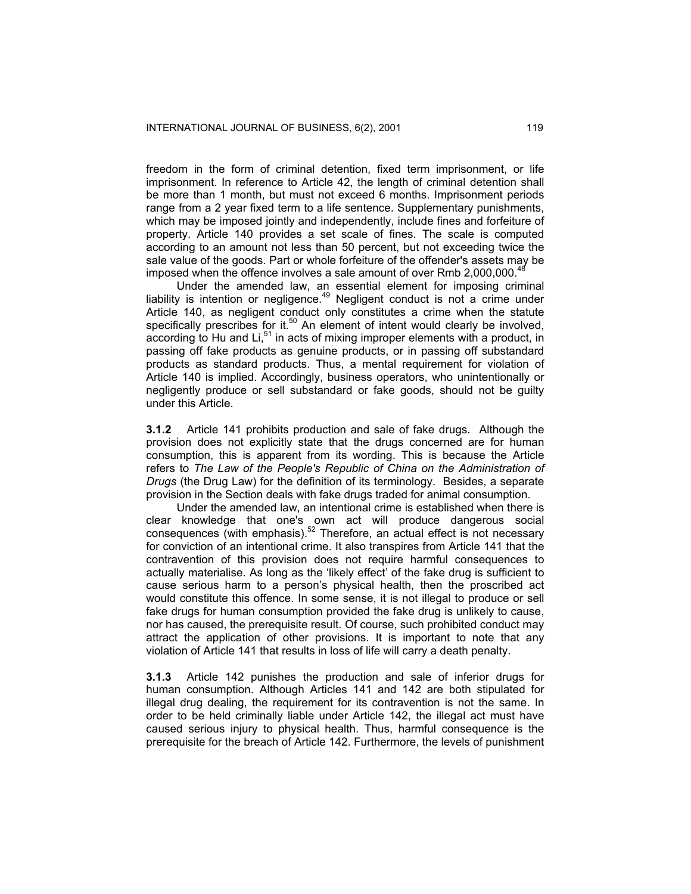freedom in the form of criminal detention, fixed term imprisonment, or life imprisonment. In reference to Article 42, the length of criminal detention shall be more than 1 month, but must not exceed 6 months. Imprisonment periods range from a 2 year fixed term to a life sentence. Supplementary punishments, which may be imposed jointly and independently, include fines and forfeiture of property. Article 140 provides a set scale of fines. The scale is computed according to an amount not less than 50 percent, but not exceeding twice the sale value of the goods. Part or whole forfeiture of the offender's assets may be imposed when the offence involves a sale amount of over Rmb 2,000,000.<sup>48</sup>

Under the amended law, an essential element for imposing criminal liability is intention or negligence.<sup>49</sup> Negligent conduct is not a crime under Article 140, as negligent conduct only constitutes a crime when the statute specifically prescribes for it. $50$  An element of intent would clearly be involved, according to Hu and Li, $51$  in acts of mixing improper elements with a product, in passing off fake products as genuine products, or in passing off substandard products as standard products. Thus, a mental requirement for violation of Article 140 is implied. Accordingly, business operators, who unintentionally or negligently produce or sell substandard or fake goods, should not be guilty under this Article.

**3.1.2** Article 141 prohibits production and sale of fake drugs. Although the provision does not explicitly state that the drugs concerned are for human consumption, this is apparent from its wording. This is because the Article refers to *The Law of the People's Republic of China on the Administration of Drugs* (the Drug Law) for the definition of its terminology. Besides, a separate provision in the Section deals with fake drugs traded for animal consumption.

Under the amended law, an intentional crime is established when there is clear knowledge that one's own act will produce dangerous social consequences (with emphasis).<sup>52</sup> Therefore, an actual effect is not necessary for conviction of an intentional crime. It also transpires from Article 141 that the contravention of this provision does not require harmful consequences to actually materialise. As long as the 'likely effect' of the fake drug is sufficient to cause serious harm to a person's physical health, then the proscribed act would constitute this offence. In some sense, it is not illegal to produce or sell fake drugs for human consumption provided the fake drug is unlikely to cause, nor has caused, the prerequisite result. Of course, such prohibited conduct may attract the application of other provisions. It is important to note that any violation of Article 141 that results in loss of life will carry a death penalty.

**3.1.3** Article 142 punishes the production and sale of inferior drugs for human consumption. Although Articles 141 and 142 are both stipulated for illegal drug dealing, the requirement for its contravention is not the same. In order to be held criminally liable under Article 142, the illegal act must have caused serious injury to physical health. Thus, harmful consequence is the prerequisite for the breach of Article 142. Furthermore, the levels of punishment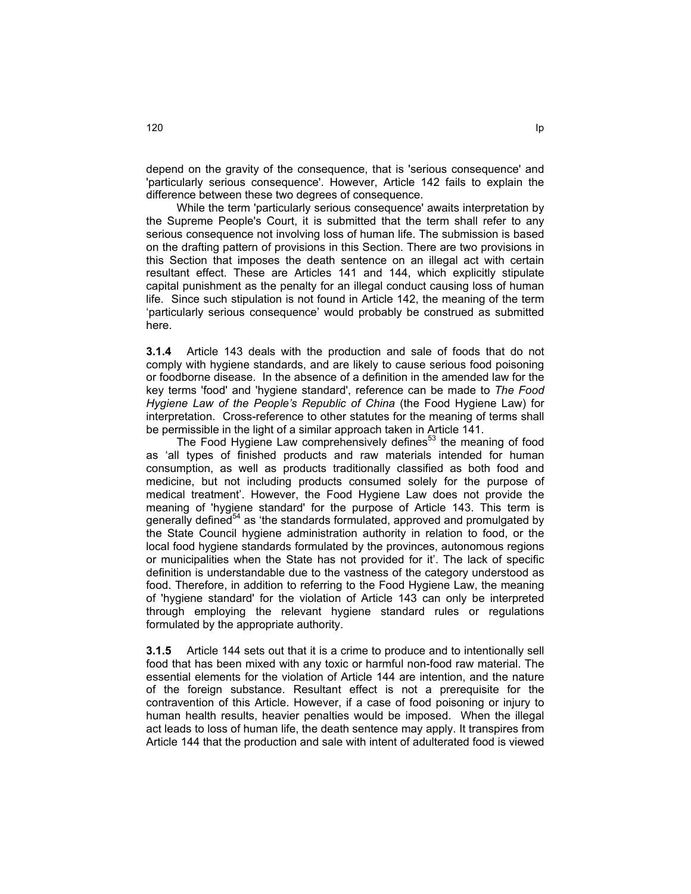depend on the gravity of the consequence, that is 'serious consequence' and 'particularly serious consequence'. However, Article 142 fails to explain the difference between these two degrees of consequence.

While the term 'particularly serious consequence' awaits interpretation by the Supreme People's Court, it is submitted that the term shall refer to any serious consequence not involving loss of human life. The submission is based on the drafting pattern of provisions in this Section. There are two provisions in this Section that imposes the death sentence on an illegal act with certain resultant effect. These are Articles 141 and 144, which explicitly stipulate capital punishment as the penalty for an illegal conduct causing loss of human life. Since such stipulation is not found in Article 142, the meaning of the term 'particularly serious consequence' would probably be construed as submitted here.

**3.1.4** Article 143 deals with the production and sale of foods that do not comply with hygiene standards, and are likely to cause serious food poisoning or foodborne disease. In the absence of a definition in the amended law for the key terms 'food' and 'hygiene standard', reference can be made to *The Food Hygiene Law of the People's Republic of China* (the Food Hygiene Law) for interpretation. Cross-reference to other statutes for the meaning of terms shall be permissible in the light of a similar approach taken in Article 141.

The Food Hygiene Law comprehensively defines<sup>53</sup> the meaning of food as 'all types of finished products and raw materials intended for human consumption, as well as products traditionally classified as both food and medicine, but not including products consumed solely for the purpose of medical treatment'. However, the Food Hygiene Law does not provide the meaning of 'hygiene standard' for the purpose of Article 143. This term is generally defined<sup>54</sup> as 'the standards formulated, approved and promulgated by the State Council hygiene administration authority in relation to food, or the local food hygiene standards formulated by the provinces, autonomous regions or municipalities when the State has not provided for it'. The lack of specific definition is understandable due to the vastness of the category understood as food. Therefore, in addition to referring to the Food Hygiene Law, the meaning of 'hygiene standard' for the violation of Article 143 can only be interpreted through employing the relevant hygiene standard rules or regulations formulated by the appropriate authority.

**3.1.5** Article 144 sets out that it is a crime to produce and to intentionally sell food that has been mixed with any toxic or harmful non-food raw material. The essential elements for the violation of Article 144 are intention, and the nature of the foreign substance. Resultant effect is not a prerequisite for the contravention of this Article. However, if a case of food poisoning or injury to human health results, heavier penalties would be imposed. When the illegal act leads to loss of human life, the death sentence may apply. It transpires from Article 144 that the production and sale with intent of adulterated food is viewed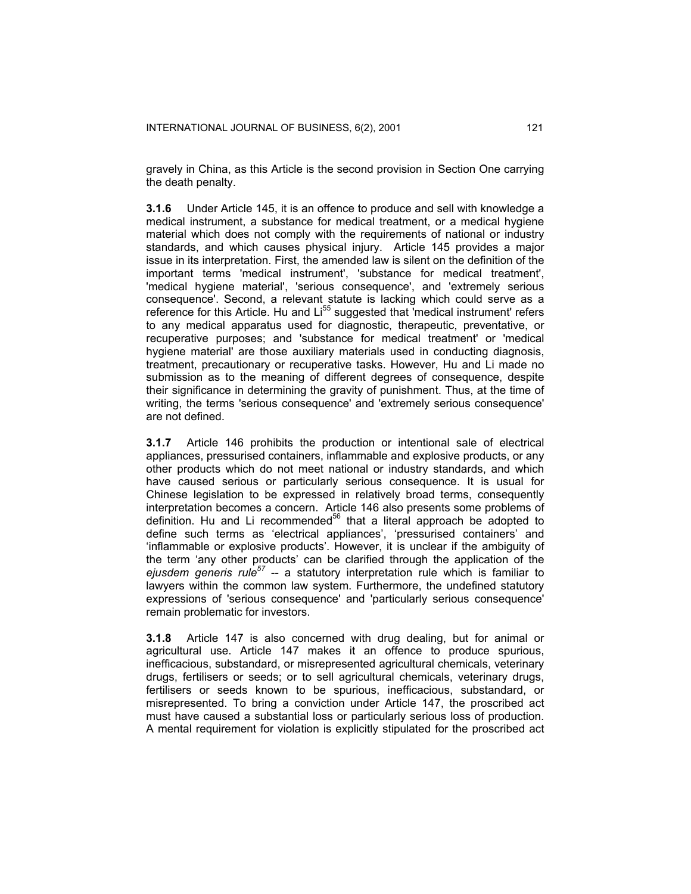gravely in China, as this Article is the second provision in Section One carrying the death penalty.

**3.1.6** Under Article 145, it is an offence to produce and sell with knowledge a medical instrument, a substance for medical treatment, or a medical hygiene material which does not comply with the requirements of national or industry standards, and which causes physical injury. Article 145 provides a major issue in its interpretation. First, the amended law is silent on the definition of the important terms 'medical instrument', 'substance for medical treatment', 'medical hygiene material', 'serious consequence', and 'extremely serious consequence'. Second, a relevant statute is lacking which could serve as a reference for this Article. Hu and Li<sup>55</sup> suggested that 'medical instrument' refers to any medical apparatus used for diagnostic, therapeutic, preventative, or recuperative purposes; and 'substance for medical treatment' or 'medical hygiene material' are those auxiliary materials used in conducting diagnosis, treatment, precautionary or recuperative tasks. However, Hu and Li made no submission as to the meaning of different degrees of consequence, despite their significance in determining the gravity of punishment. Thus, at the time of writing, the terms 'serious consequence' and 'extremely serious consequence' are not defined.

**3.1.7** Article 146 prohibits the production or intentional sale of electrical appliances, pressurised containers, inflammable and explosive products, or any other products which do not meet national or industry standards, and which have caused serious or particularly serious consequence. It is usual for Chinese legislation to be expressed in relatively broad terms, consequently interpretation becomes a concern. Article 146 also presents some problems of definition. Hu and Li recommended $56$  that a literal approach be adopted to define such terms as 'electrical appliances', 'pressurised containers' and 'inflammable or explosive products'. However, it is unclear if the ambiguity of the term 'any other products' can be clarified through the application of the *ejusdem generis rule<sup>57</sup>* -- a statutory interpretation rule which is familiar to lawyers within the common law system. Furthermore, the undefined statutory expressions of 'serious consequence' and 'particularly serious consequence' remain problematic for investors.

**3.1.8** Article 147 is also concerned with drug dealing, but for animal or agricultural use. Article 147 makes it an offence to produce spurious, inefficacious, substandard, or misrepresented agricultural chemicals, veterinary drugs, fertilisers or seeds; or to sell agricultural chemicals, veterinary drugs, fertilisers or seeds known to be spurious, inefficacious, substandard, or misrepresented. To bring a conviction under Article 147, the proscribed act must have caused a substantial loss or particularly serious loss of production. A mental requirement for violation is explicitly stipulated for the proscribed act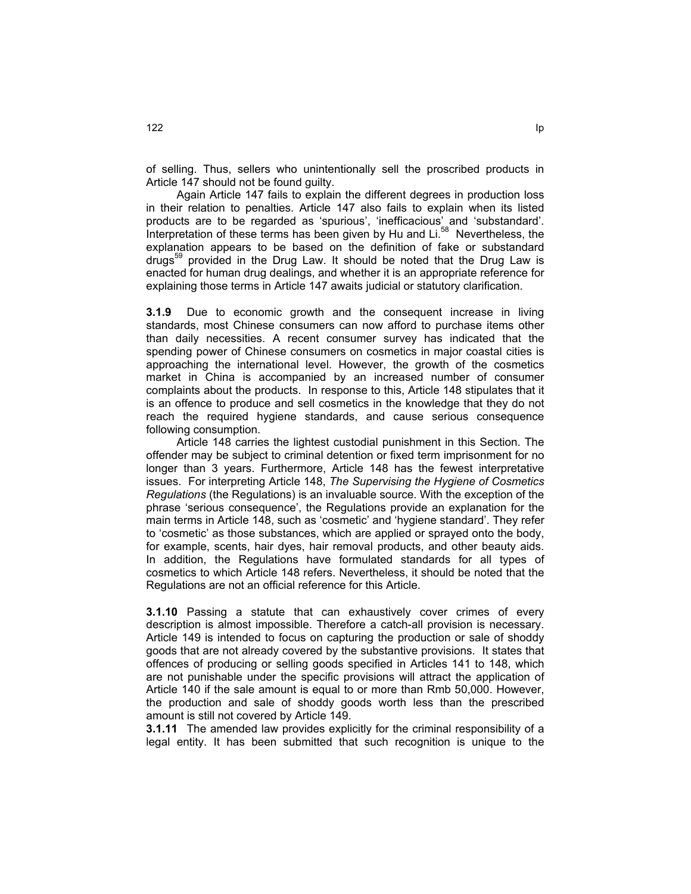of selling. Thus, sellers who unintentionally sell the proscribed products in Article 147 should not be found guilty.

 Again Article 147 fails to explain the different degrees in production loss in their relation to penalties. Article 147 also fails to explain when its listed products are to be regarded as 'spurious', 'inefficacious' and 'substandard'. Interpretation of these terms has been given by Hu and Li.<sup>58</sup> Nevertheless, the explanation appears to be based on the definition of fake or substandard drugs<sup>59</sup> provided in the Drug Law. It should be noted that the Drug Law is enacted for human drug dealings, and whether it is an appropriate reference for explaining those terms in Article 147 awaits judicial or statutory clarification.

**3.1.9** Due to economic growth and the consequent increase in living standards, most Chinese consumers can now afford to purchase items other than daily necessities. A recent consumer survey has indicated that the spending power of Chinese consumers on cosmetics in major coastal cities is approaching the international level. However, the growth of the cosmetics market in China is accompanied by an increased number of consumer complaints about the products. In response to this, Article 148 stipulates that it is an offence to produce and sell cosmetics in the knowledge that they do not reach the required hygiene standards, and cause serious consequence following consumption.

Article 148 carries the lightest custodial punishment in this Section. The offender may be subject to criminal detention or fixed term imprisonment for no longer than 3 years. Furthermore, Article 148 has the fewest interpretative issues. For interpreting Article 148, *The Supervising the Hygiene of Cosmetics Regulations* (the Regulations) is an invaluable source. With the exception of the phrase 'serious consequence', the Regulations provide an explanation for the main terms in Article 148, such as 'cosmetic' and 'hygiene standard'. They refer to 'cosmetic' as those substances, which are applied or sprayed onto the body, for example, scents, hair dyes, hair removal products, and other beauty aids. In addition, the Regulations have formulated standards for all types of cosmetics to which Article 148 refers. Nevertheless, it should be noted that the Regulations are not an official reference for this Article.

**3.1.10** Passing a statute that can exhaustively cover crimes of every description is almost impossible. Therefore a catch-all provision is necessary. Article 149 is intended to focus on capturing the production or sale of shoddy goods that are not already covered by the substantive provisions. It states that offences of producing or selling goods specified in Articles 141 to 148, which are not punishable under the specific provisions will attract the application of Article 140 if the sale amount is equal to or more than Rmb 50,000. However, the production and sale of shoddy goods worth less than the prescribed amount is still not covered by Article 149.

**3.1.11** The amended law provides explicitly for the criminal responsibility of a legal entity. It has been submitted that such recognition is unique to the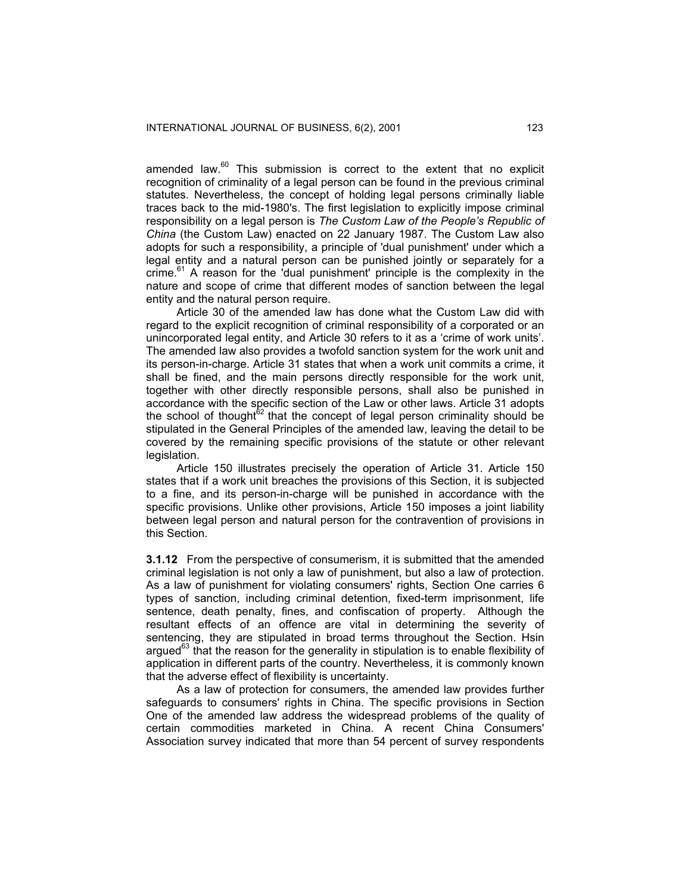amended law. $60$  This submission is correct to the extent that no explicit recognition of criminality of a legal person can be found in the previous criminal statutes. Nevertheless, the concept of holding legal persons criminally liable traces back to the mid-1980's. The first legislation to explicitly impose criminal responsibility on a legal person is *The Custom Law of the People's Republic of China* (the Custom Law) enacted on 22 January 1987. The Custom Law also adopts for such a responsibility, a principle of 'dual punishment' under which a legal entity and a natural person can be punished jointly or separately for a  $r = 61$  A reason for the 'dual punishment' principle is the complexity in the nature and scope of crime that different modes of sanction between the legal entity and the natural person require.

Article 30 of the amended law has done what the Custom Law did with regard to the explicit recognition of criminal responsibility of a corporated or an unincorporated legal entity, and Article 30 refers to it as a 'crime of work units'. The amended law also provides a twofold sanction system for the work unit and its person-in-charge. Article 31 states that when a work unit commits a crime, it shall be fined, and the main persons directly responsible for the work unit, together with other directly responsible persons, shall also be punished in accordance with the specific section of the Law or other laws. Article 31 adopts the school of thought $62$  that the concept of legal person criminality should be stipulated in the General Principles of the amended law, leaving the detail to be covered by the remaining specific provisions of the statute or other relevant legislation.

Article 150 illustrates precisely the operation of Article 31. Article 150 states that if a work unit breaches the provisions of this Section, it is subjected to a fine, and its person-in-charge will be punished in accordance with the specific provisions. Unlike other provisions, Article 150 imposes a joint liability between legal person and natural person for the contravention of provisions in this Section.

**3.1.12** From the perspective of consumerism, it is submitted that the amended criminal legislation is not only a law of punishment, but also a law of protection. As a law of punishment for violating consumers' rights, Section One carries 6 types of sanction, including criminal detention, fixed-term imprisonment, life sentence, death penalty, fines, and confiscation of property. Although the resultant effects of an offence are vital in determining the severity of sentencing, they are stipulated in broad terms throughout the Section. Hsin argued $^{63}$  that the reason for the generality in stipulation is to enable flexibility of application in different parts of the country. Nevertheless, it is commonly known that the adverse effect of flexibility is uncertainty.

As a law of protection for consumers, the amended law provides further safeguards to consumers' rights in China. The specific provisions in Section One of the amended law address the widespread problems of the quality of certain commodities marketed in China. A recent China Consumers' Association survey indicated that more than 54 percent of survey respondents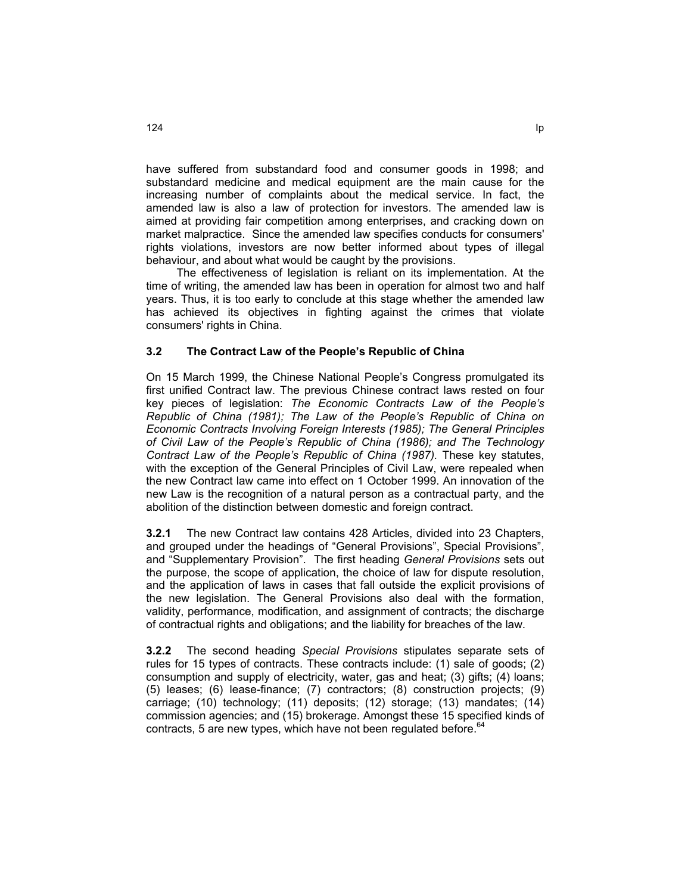have suffered from substandard food and consumer goods in 1998; and substandard medicine and medical equipment are the main cause for the increasing number of complaints about the medical service. In fact, the amended law is also a law of protection for investors. The amended law is aimed at providing fair competition among enterprises, and cracking down on market malpractice. Since the amended law specifies conducts for consumers' rights violations, investors are now better informed about types of illegal behaviour, and about what would be caught by the provisions.

The effectiveness of legislation is reliant on its implementation. At the time of writing, the amended law has been in operation for almost two and half years. Thus, it is too early to conclude at this stage whether the amended law has achieved its objectives in fighting against the crimes that violate consumers' rights in China.

# **3.2 The Contract Law of the People's Republic of China**

On 15 March 1999, the Chinese National People's Congress promulgated its first unified Contract law. The previous Chinese contract laws rested on four key pieces of legislation: *The Economic Contracts Law of the People's Republic of China (1981); The Law of the People's Republic of China on Economic Contracts Involving Foreign Interests (1985); The General Principles of Civil Law of the People's Republic of China (1986); and The Technology Contract Law of the People's Republic of China (1987).* These key statutes, with the exception of the General Principles of Civil Law, were repealed when the new Contract law came into effect on 1 October 1999. An innovation of the new Law is the recognition of a natural person as a contractual party, and the abolition of the distinction between domestic and foreign contract.

**3.2.1** The new Contract law contains 428 Articles, divided into 23 Chapters, and grouped under the headings of "General Provisions", Special Provisions", and "Supplementary Provision". The first heading *General Provisions* sets out the purpose, the scope of application, the choice of law for dispute resolution, and the application of laws in cases that fall outside the explicit provisions of the new legislation. The General Provisions also deal with the formation, validity, performance, modification, and assignment of contracts; the discharge of contractual rights and obligations; and the liability for breaches of the law.

**3.2.2** The second heading *Special Provisions* stipulates separate sets of rules for 15 types of contracts. These contracts include: (1) sale of goods; (2) consumption and supply of electricity, water, gas and heat; (3) gifts; (4) loans; (5) leases; (6) lease-finance; (7) contractors; (8) construction projects; (9) carriage; (10) technology; (11) deposits; (12) storage; (13) mandates; (14) commission agencies; and (15) brokerage. Amongst these 15 specified kinds of contracts, 5 are new types, which have not been regulated before.<sup>64</sup>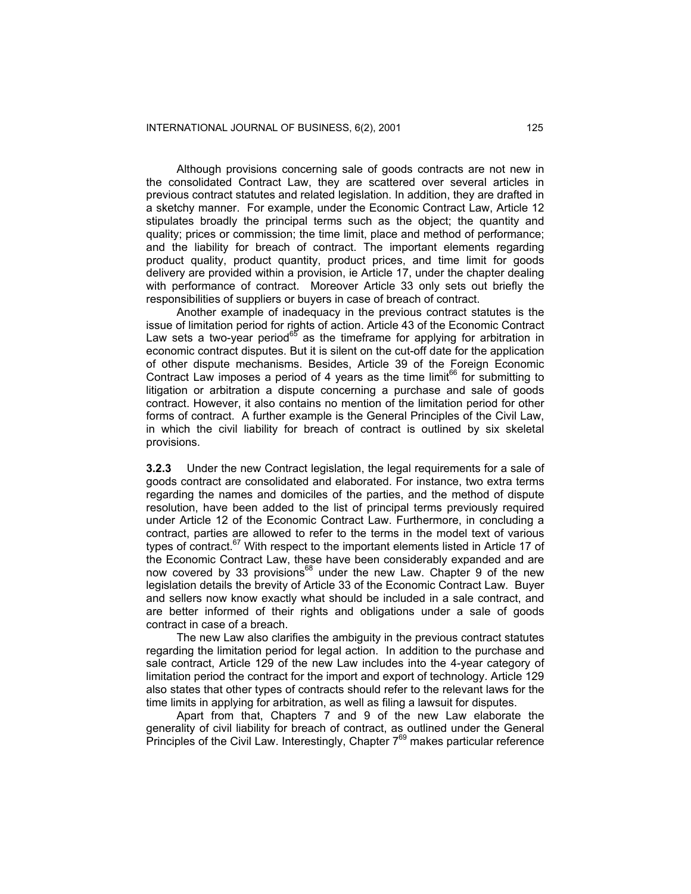Although provisions concerning sale of goods contracts are not new in the consolidated Contract Law, they are scattered over several articles in previous contract statutes and related legislation. In addition, they are drafted in a sketchy manner. For example, under the Economic Contract Law, Article 12 stipulates broadly the principal terms such as the object; the quantity and quality; prices or commission; the time limit, place and method of performance; and the liability for breach of contract. The important elements regarding product quality, product quantity, product prices, and time limit for goods delivery are provided within a provision, ie Article 17, under the chapter dealing with performance of contract. Moreover Article 33 only sets out briefly the responsibilities of suppliers or buyers in case of breach of contract.

Another example of inadequacy in the previous contract statutes is the issue of limitation period for rights of action. Article 43 of the Economic Contract Law sets a two-year period<sup>65</sup> as the timeframe for applying for arbitration in economic contract disputes. But it is silent on the cut-off date for the application of other dispute mechanisms. Besides, Article 39 of the Foreign Economic Contract Law imposes a period of 4 years as the time limit<sup>66</sup> for submitting to litigation or arbitration a dispute concerning a purchase and sale of goods contract. However, it also contains no mention of the limitation period for other forms of contract. A further example is the General Principles of the Civil Law, in which the civil liability for breach of contract is outlined by six skeletal provisions.

**3.2.3** Under the new Contract legislation, the legal requirements for a sale of goods contract are consolidated and elaborated. For instance, two extra terms regarding the names and domiciles of the parties, and the method of dispute resolution, have been added to the list of principal terms previously required under Article 12 of the Economic Contract Law. Furthermore, in concluding a contract, parties are allowed to refer to the terms in the model text of various types of contract.<sup>67</sup> With respect to the important elements listed in Article 17 of the Economic Contract Law, these have been considerably expanded and are now covered by 33 provisions<sup>68</sup> under the new Law. Chapter 9 of the new legislation details the brevity of Article 33 of the Economic Contract Law. Buyer and sellers now know exactly what should be included in a sale contract, and are better informed of their rights and obligations under a sale of goods contract in case of a breach.

The new Law also clarifies the ambiguity in the previous contract statutes regarding the limitation period for legal action. In addition to the purchase and sale contract, Article 129 of the new Law includes into the 4-year category of limitation period the contract for the import and export of technology. Article 129 also states that other types of contracts should refer to the relevant laws for the time limits in applying for arbitration, as well as filing a lawsuit for disputes.

Apart from that, Chapters 7 and 9 of the new Law elaborate the generality of civil liability for breach of contract, as outlined under the General Principles of the Civil Law. Interestingly, Chapter  $7^{69}$  makes particular reference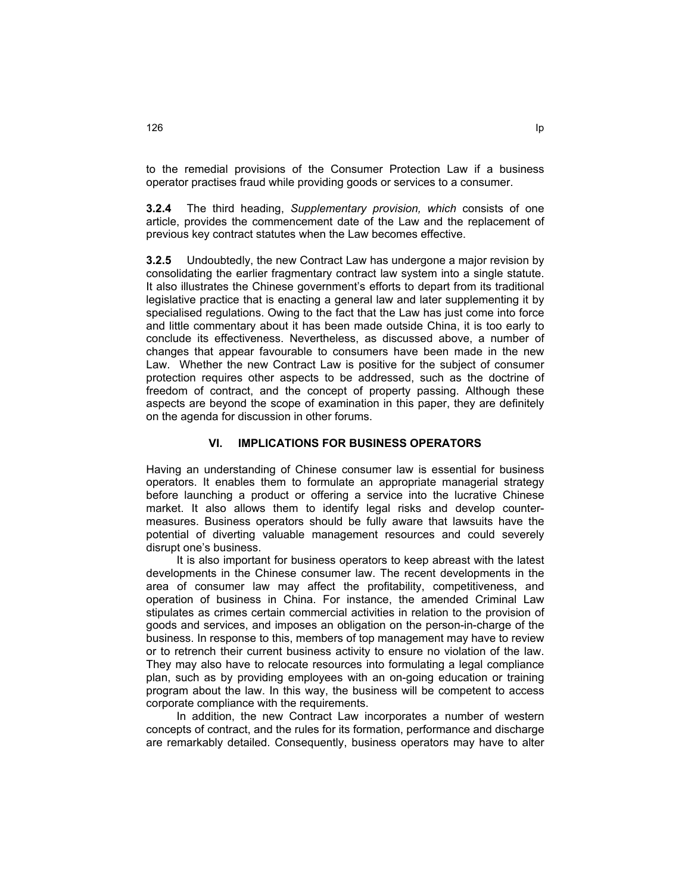to the remedial provisions of the Consumer Protection Law if a business operator practises fraud while providing goods or services to a consumer.

**3.2.4** The third heading, *Supplementary provision, which* consists of one article, provides the commencement date of the Law and the replacement of previous key contract statutes when the Law becomes effective.

**3.2.5** Undoubtedly, the new Contract Law has undergone a major revision by consolidating the earlier fragmentary contract law system into a single statute. It also illustrates the Chinese government's efforts to depart from its traditional legislative practice that is enacting a general law and later supplementing it by specialised regulations. Owing to the fact that the Law has just come into force and little commentary about it has been made outside China, it is too early to conclude its effectiveness. Nevertheless, as discussed above, a number of changes that appear favourable to consumers have been made in the new Law. Whether the new Contract Law is positive for the subject of consumer protection requires other aspects to be addressed, such as the doctrine of freedom of contract, and the concept of property passing. Although these aspects are beyond the scope of examination in this paper, they are definitely on the agenda for discussion in other forums.

# **VI. IMPLICATIONS FOR BUSINESS OPERATORS**

Having an understanding of Chinese consumer law is essential for business operators. It enables them to formulate an appropriate managerial strategy before launching a product or offering a service into the lucrative Chinese market. It also allows them to identify legal risks and develop countermeasures. Business operators should be fully aware that lawsuits have the potential of diverting valuable management resources and could severely disrupt one's business.

It is also important for business operators to keep abreast with the latest developments in the Chinese consumer law. The recent developments in the area of consumer law may affect the profitability, competitiveness, and operation of business in China. For instance, the amended Criminal Law stipulates as crimes certain commercial activities in relation to the provision of goods and services, and imposes an obligation on the person-in-charge of the business. In response to this, members of top management may have to review or to retrench their current business activity to ensure no violation of the law. They may also have to relocate resources into formulating a legal compliance plan, such as by providing employees with an on-going education or training program about the law. In this way, the business will be competent to access corporate compliance with the requirements.

In addition, the new Contract Law incorporates a number of western concepts of contract, and the rules for its formation, performance and discharge are remarkably detailed. Consequently, business operators may have to alter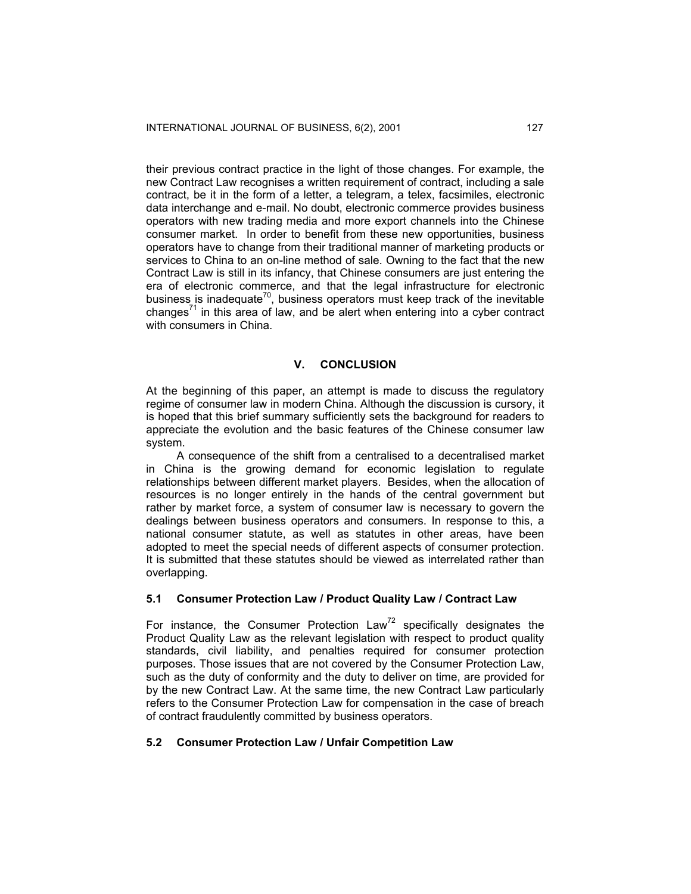their previous contract practice in the light of those changes. For example, the new Contract Law recognises a written requirement of contract, including a sale contract, be it in the form of a letter, a telegram, a telex, facsimiles, electronic data interchange and e-mail. No doubt, electronic commerce provides business operators with new trading media and more export channels into the Chinese consumer market. In order to benefit from these new opportunities, business operators have to change from their traditional manner of marketing products or services to China to an on-line method of sale. Owning to the fact that the new Contract Law is still in its infancy, that Chinese consumers are just entering the era of electronic commerce, and that the legal infrastructure for electronic business is inadequate<sup>70</sup>, business operators must keep track of the inevitable changes<sup>71</sup> in this area of law, and be alert when entering into a cyber contract with consumers in China.

#### **V. CONCLUSION**

At the beginning of this paper, an attempt is made to discuss the regulatory regime of consumer law in modern China. Although the discussion is cursory, it is hoped that this brief summary sufficiently sets the background for readers to appreciate the evolution and the basic features of the Chinese consumer law system.

A consequence of the shift from a centralised to a decentralised market in China is the growing demand for economic legislation to regulate relationships between different market players. Besides, when the allocation of resources is no longer entirely in the hands of the central government but rather by market force, a system of consumer law is necessary to govern the dealings between business operators and consumers. In response to this, a national consumer statute, as well as statutes in other areas, have been adopted to meet the special needs of different aspects of consumer protection. It is submitted that these statutes should be viewed as interrelated rather than overlapping.

### **5.1 Consumer Protection Law / Product Quality Law / Contract Law**

For instance, the Consumer Protection  $Law^{72}$  specifically designates the Product Quality Law as the relevant legislation with respect to product quality standards, civil liability, and penalties required for consumer protection purposes. Those issues that are not covered by the Consumer Protection Law, such as the duty of conformity and the duty to deliver on time, are provided for by the new Contract Law. At the same time, the new Contract Law particularly refers to the Consumer Protection Law for compensation in the case of breach of contract fraudulently committed by business operators.

#### **5.2 Consumer Protection Law / Unfair Competition Law**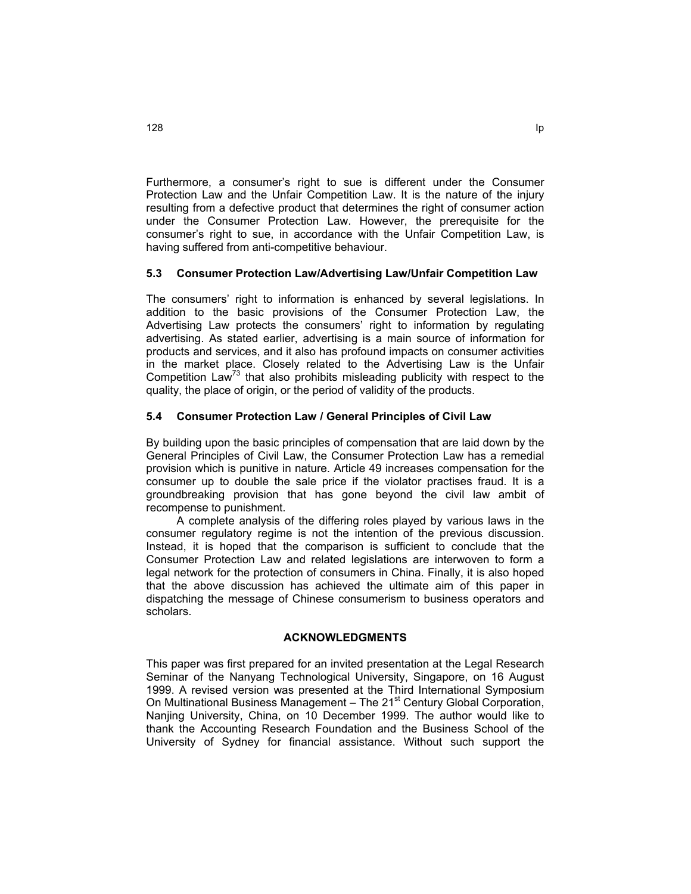Furthermore, a consumer's right to sue is different under the Consumer Protection Law and the Unfair Competition Law. It is the nature of the injury resulting from a defective product that determines the right of consumer action under the Consumer Protection Law. However, the prerequisite for the consumer's right to sue, in accordance with the Unfair Competition Law, is having suffered from anti-competitive behaviour.

# **5.3 Consumer Protection Law/Advertising Law/Unfair Competition Law**

The consumers' right to information is enhanced by several legislations. In addition to the basic provisions of the Consumer Protection Law, the Advertising Law protects the consumers' right to information by regulating advertising. As stated earlier, advertising is a main source of information for products and services, and it also has profound impacts on consumer activities in the market place. Closely related to the Advertising Law is the Unfair Competition Law<sup>73</sup> that also prohibits misleading publicity with respect to the quality, the place of origin, or the period of validity of the products.

#### **5.4 Consumer Protection Law / General Principles of Civil Law**

By building upon the basic principles of compensation that are laid down by the General Principles of Civil Law, the Consumer Protection Law has a remedial provision which is punitive in nature. Article 49 increases compensation for the consumer up to double the sale price if the violator practises fraud. It is a groundbreaking provision that has gone beyond the civil law ambit of recompense to punishment.

A complete analysis of the differing roles played by various laws in the consumer regulatory regime is not the intention of the previous discussion. Instead, it is hoped that the comparison is sufficient to conclude that the Consumer Protection Law and related legislations are interwoven to form a legal network for the protection of consumers in China. Finally, it is also hoped that the above discussion has achieved the ultimate aim of this paper in dispatching the message of Chinese consumerism to business operators and scholars.

#### **ACKNOWLEDGMENTS**

This paper was first prepared for an invited presentation at the Legal Research Seminar of the Nanyang Technological University, Singapore, on 16 August 1999. A revised version was presented at the Third International Symposium On Multinational Business Management - The 21<sup>st</sup> Century Global Corporation, Nanjing University, China, on 10 December 1999. The author would like to thank the Accounting Research Foundation and the Business School of the University of Sydney for financial assistance. Without such support the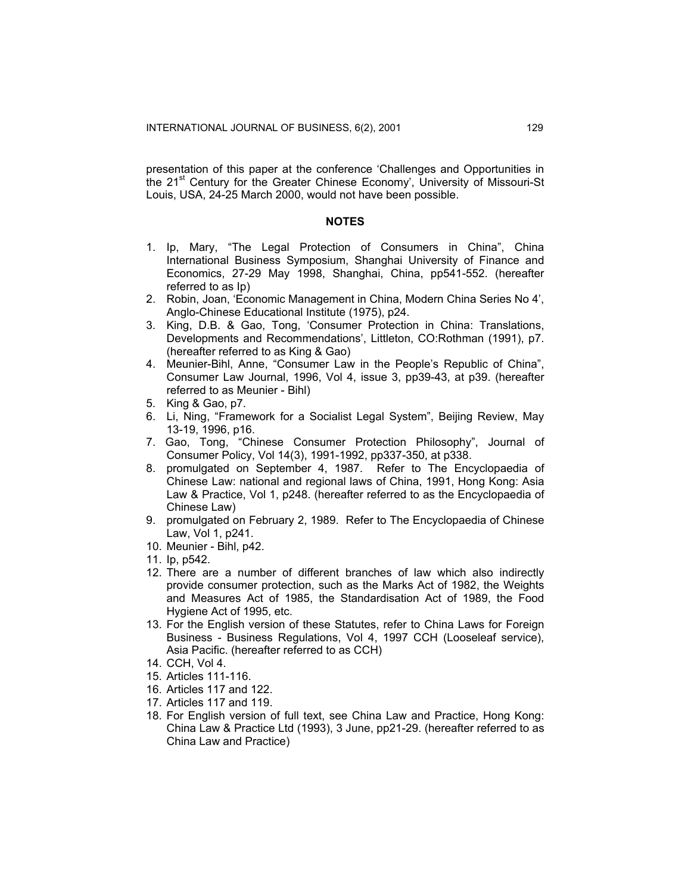presentation of this paper at the conference 'Challenges and Opportunities in the 21<sup>st</sup> Century for the Greater Chinese Economy', University of Missouri-St Louis, USA, 24-25 March 2000, would not have been possible.

#### **NOTES**

- 1. Ip, Mary, "The Legal Protection of Consumers in China", China International Business Symposium, Shanghai University of Finance and Economics, 27-29 May 1998, Shanghai, China, pp541-552. (hereafter referred to as Ip)
- 2. Robin, Joan, 'Economic Management in China, Modern China Series No 4', Anglo-Chinese Educational Institute (1975), p24.
- 3. King, D.B. & Gao, Tong, 'Consumer Protection in China: Translations, Developments and Recommendations', Littleton, CO:Rothman (1991), p7. (hereafter referred to as King & Gao)
- 4. Meunier-Bihl, Anne, "Consumer Law in the People's Republic of China", Consumer Law Journal, 1996, Vol 4, issue 3, pp39-43, at p39. (hereafter referred to as Meunier - Bihl)
- 5. King & Gao, p7.
- 6. Li, Ning, "Framework for a Socialist Legal System", Beijing Review, May 13-19, 1996, p16.
- 7. Gao, Tong, "Chinese Consumer Protection Philosophy", Journal of Consumer Policy, Vol 14(3), 1991-1992, pp337-350, at p338.
- 8. promulgated on September 4, 1987. Refer to The Encyclopaedia of Chinese Law: national and regional laws of China, 1991, Hong Kong: Asia Law & Practice, Vol 1, p248. (hereafter referred to as the Encyclopaedia of Chinese Law)
- 9. promulgated on February 2, 1989. Refer to The Encyclopaedia of Chinese Law, Vol 1, p241.
- 10. Meunier Bihl, p42.
- 11. Ip, p542.
- 12. There are a number of different branches of law which also indirectly provide consumer protection, such as the Marks Act of 1982, the Weights and Measures Act of 1985, the Standardisation Act of 1989, the Food Hygiene Act of 1995, etc.
- 13. For the English version of these Statutes, refer to China Laws for Foreign Business - Business Regulations, Vol 4, 1997 CCH (Looseleaf service), Asia Pacific. (hereafter referred to as CCH)
- 14. CCH, Vol 4.
- 15. Articles 111-116.
- 16. Articles 117 and 122.
- 17. Articles 117 and 119.
- 18. For English version of full text, see China Law and Practice, Hong Kong: China Law & Practice Ltd (1993), 3 June, pp21-29. (hereafter referred to as China Law and Practice)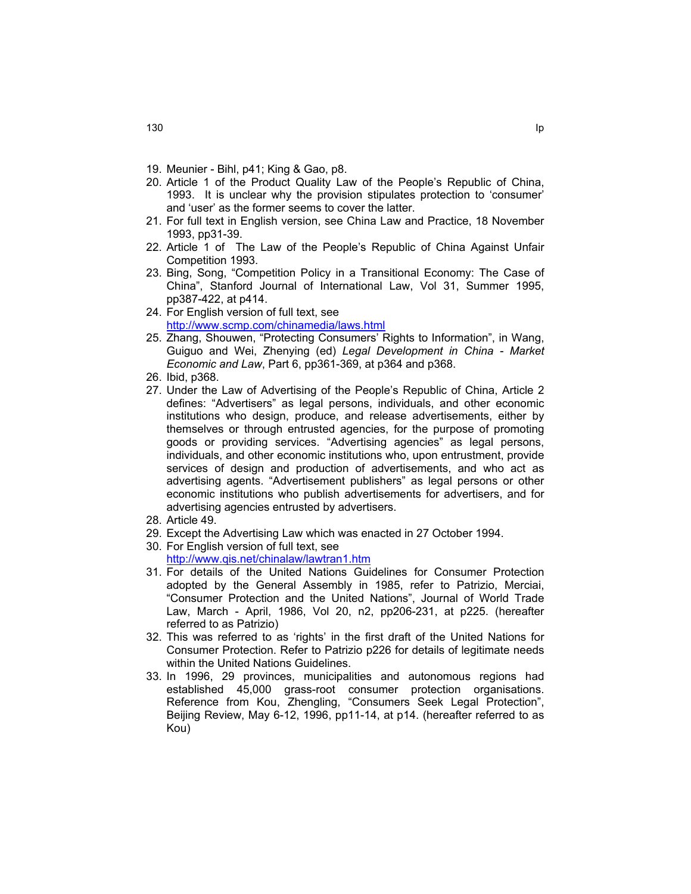- 19. Meunier Bihl, p41; King & Gao, p8.
- 20. Article 1 of the Product Quality Law of the People's Republic of China, 1993. It is unclear why the provision stipulates protection to 'consumer' and 'user' as the former seems to cover the latter.
- 21. For full text in English version, see China Law and Practice, 18 November 1993, pp31-39.
- 22. Article 1 of The Law of the People's Republic of China Against Unfair Competition 1993.
- 23. Bing, Song, "Competition Policy in a Transitional Economy: The Case of China", Stanford Journal of International Law, Vol 31, Summer 1995, pp387-422, at p414.
- 24. For English version of full text, see <http://www.scmp.com/chinamedia/laws.html>
- 25. Zhang, Shouwen, "Protecting Consumers' Rights to Information", in Wang, Guiguo and Wei, Zhenying (ed) *Legal Development in China - Market Economic and Law*, Part 6, pp361-369, at p364 and p368.
- 26. Ibid, p368.
- 27. Under the Law of Advertising of the People's Republic of China, Article 2 defines: "Advertisers" as legal persons, individuals, and other economic institutions who design, produce, and release advertisements, either by themselves or through entrusted agencies, for the purpose of promoting goods or providing services. "Advertising agencies" as legal persons, individuals, and other economic institutions who, upon entrustment, provide services of design and production of advertisements, and who act as advertising agents. "Advertisement publishers" as legal persons or other economic institutions who publish advertisements for advertisers, and for advertising agencies entrusted by advertisers.
- 28. Article 49.
- 29. Except the Advertising Law which was enacted in 27 October 1994.
- 30. For English version of full text, see <http://www.qis.net/chinalaw/lawtran1.htm>
- 31. For details of the United Nations Guidelines for Consumer Protection adopted by the General Assembly in 1985, refer to Patrizio, Merciai, "Consumer Protection and the United Nations", Journal of World Trade Law, March - April, 1986, Vol 20, n2, pp206-231, at p225. (hereafter referred to as Patrizio)
- 32. This was referred to as 'rights' in the first draft of the United Nations for Consumer Protection. Refer to Patrizio p226 for details of legitimate needs within the United Nations Guidelines.
- 33. In 1996, 29 provinces, municipalities and autonomous regions had established 45,000 grass-root consumer protection organisations. Reference from Kou, Zhengling, "Consumers Seek Legal Protection", Beijing Review, May 6-12, 1996, pp11-14, at p14. (hereafter referred to as Kou)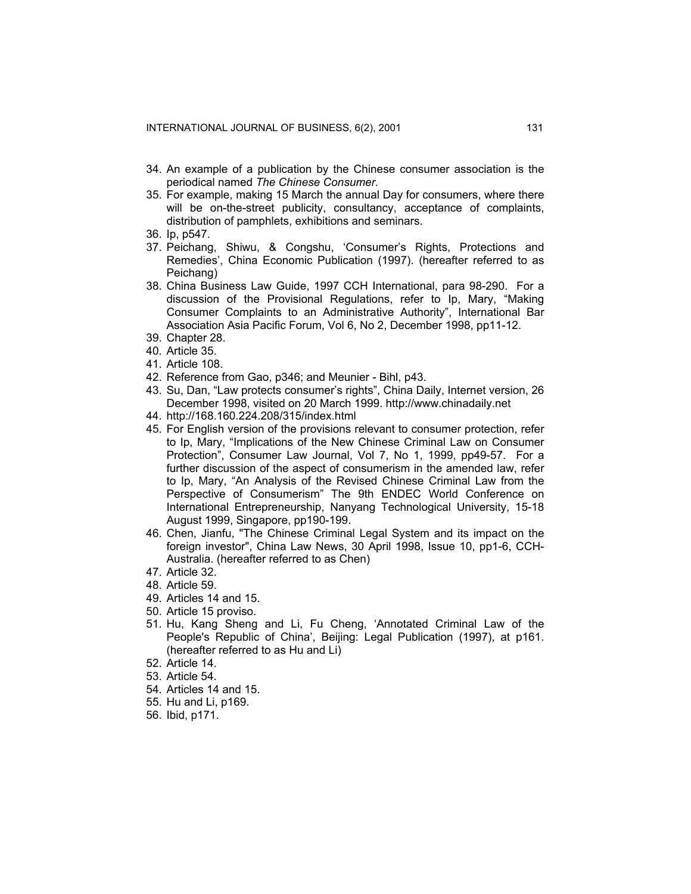- 34. An example of a publication by the Chinese consumer association is the periodical named *The Chinese Consumer.*
- 35. For example, making 15 March the annual Day for consumers, where there will be on-the-street publicity, consultancy, acceptance of complaints, distribution of pamphlets, exhibitions and seminars.
- 36. Ip, p547.
- 37. Peichang, Shiwu, & Congshu, 'Consumer's Rights, Protections and Remedies', China Economic Publication (1997). (hereafter referred to as Peichang)
- 38. China Business Law Guide, 1997 CCH International, para 98-290. For a discussion of the Provisional Regulations, refer to Ip, Mary, "Making Consumer Complaints to an Administrative Authority", International Bar Association Asia Pacific Forum, Vol 6, No 2, December 1998, pp11-12.
- 39. Chapter 28.
- 40. Article 35.
- 41. Article 108.
- 42. Reference from Gao, p346; and Meunier Bihl, p43.
- 43. Su, Dan, "Law protects consumer's rights", China Daily, Internet version, 26 December 1998, visited on 20 March 1999. http://www.chinadaily.net
- 44. http://168.160.224.208/315/index.html
- 45. For English version of the provisions relevant to consumer protection, refer to Ip, Mary, "Implications of the New Chinese Criminal Law on Consumer Protection", Consumer Law Journal, Vol 7, No 1, 1999, pp49-57. For a further discussion of the aspect of consumerism in the amended law, refer to Ip, Mary, "An Analysis of the Revised Chinese Criminal Law from the Perspective of Consumerism" The 9th ENDEC World Conference on International Entrepreneurship, Nanyang Technological University, 15-18 August 1999, Singapore, pp190-199.
- 46. Chen, Jianfu, "The Chinese Criminal Legal System and its impact on the foreign investor", China Law News, 30 April 1998, Issue 10, pp1-6, CCH-Australia. (hereafter referred to as Chen)
- 47. Article 32.
- 48. Article 59.
- 49. Articles 14 and 15.
- 50. Article 15 proviso.
- 51. Hu, Kang Sheng and Li, Fu Cheng, 'Annotated Criminal Law of the People's Republic of China', Beijing: Legal Publication (1997), at p161. (hereafter referred to as Hu and Li)
- 52. Article 14.
- 53. Article 54.
- 54. Articles 14 and 15.
- 55. Hu and Li, p169.
- 56. Ibid, p171.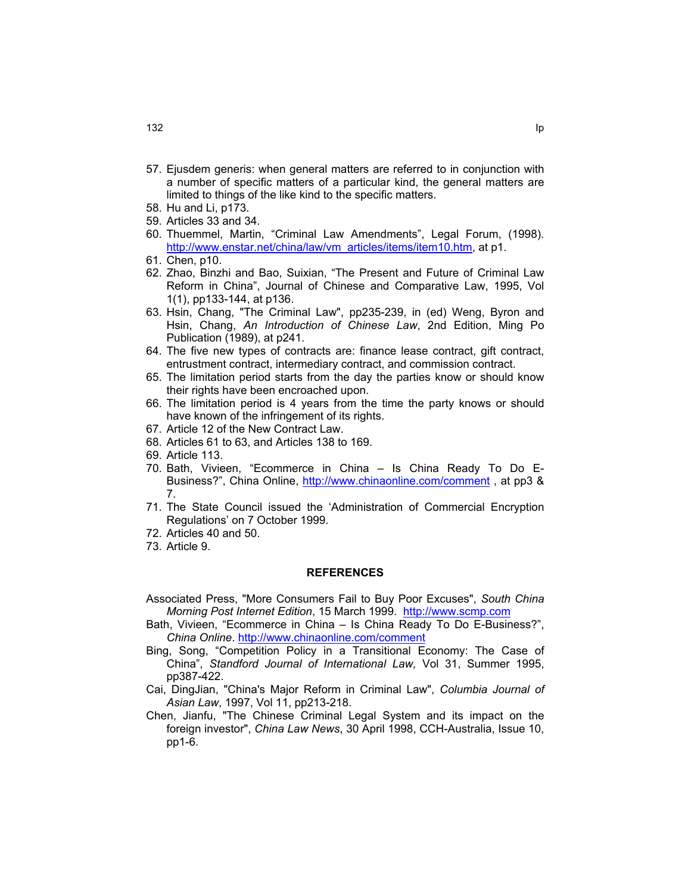- 57. Ejusdem generis: when general matters are referred to in conjunction with a number of specific matters of a particular kind, the general matters are limited to things of the like kind to the specific matters.
- 58. Hu and Li, p173.
- 59. Articles 33 and 34.
- 60. Thuemmel, Martin, "Criminal Law Amendments", Legal Forum, (1998). [http://www.enstar.net/china/law/vm articles/items/item10.htm,](http://www.enstar.net/china/law/vm  articles/items/item10.htm) at p1.
- 61. Chen, p10.
- 62. Zhao, Binzhi and Bao, Suixian, "The Present and Future of Criminal Law Reform in China", Journal of Chinese and Comparative Law, 1995, Vol 1(1), pp133-144, at p136.
- 63. Hsin, Chang, "The Criminal Law", pp235-239, in (ed) Weng, Byron and Hsin, Chang, *An Introduction of Chinese Law*, 2nd Edition, Ming Po Publication (1989), at p241.
- 64. The five new types of contracts are: finance lease contract, gift contract, entrustment contract, intermediary contract, and commission contract.
- 65. The limitation period starts from the day the parties know or should know their rights have been encroached upon.
- 66. The limitation period is 4 years from the time the party knows or should have known of the infringement of its rights.
- 67. Article 12 of the New Contract Law.
- 68. Articles 61 to 63, and Articles 138 to 169.
- 69. Article 113.
- 70. Bath, Vivieen, "Ecommerce in China Is China Ready To Do E-Business?", China Online, <http://www.chinaonline.com/comment> , at pp3 & 7.
- 71. The State Council issued the 'Administration of Commercial Encryption Regulations' on 7 October 1999.
- 72. Articles 40 and 50.
- 73. Article 9.

#### **REFERENCES**

- Associated Press, "More Consumers Fail to Buy Poor Excuses", *South China Morning Post Internet Edition*, 15 March 1999. [http://www.scmp.com](http://www.scmp.com/)
- Bath, Vivieen, "Ecommerce in China Is China Ready To Do E-Business?", *China Online*.<http://www.chinaonline.com/comment>
- Bing, Song, "Competition Policy in a Transitional Economy: The Case of China", *Standford Journal of International Law,* Vol 31, Summer 1995, pp387-422.
- Cai, DingJian, "China's Major Reform in Criminal Law", *Columbia Journal of Asian Law*, 1997, Vol 11, pp213-218.
- Chen, Jianfu, "The Chinese Criminal Legal System and its impact on the foreign investor", *China Law News*, 30 April 1998, CCH-Australia, Issue 10, pp1-6.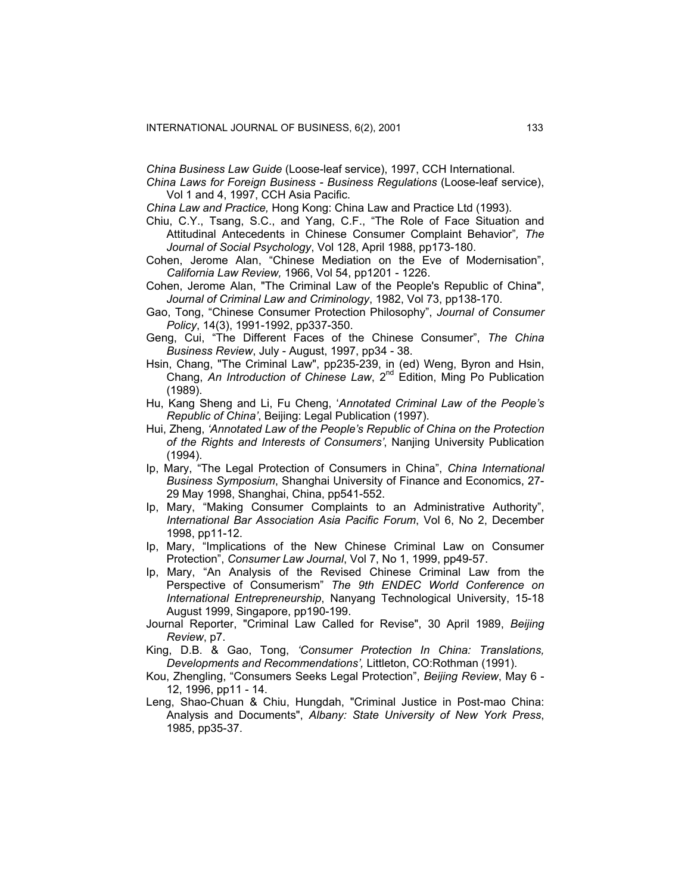*China Business Law Guide* (Loose-leaf service), 1997, CCH International.

*China Laws for Foreign Business - Business Regulations* (Loose-leaf service), Vol 1 and 4, 1997, CCH Asia Pacific.

*China Law and Practice,* Hong Kong: China Law and Practice Ltd (1993).

- Chiu, C.Y., Tsang, S.C., and Yang, C.F., "The Role of Face Situation and Attitudinal Antecedents in Chinese Consumer Complaint Behavior"*, The Journal of Social Psychology*, Vol 128, April 1988, pp173-180.
- Cohen, Jerome Alan, "Chinese Mediation on the Eve of Modernisation", *California Law Review,* 1966, Vol 54, pp1201 - 1226.
- Cohen, Jerome Alan, "The Criminal Law of the People's Republic of China", *Journal of Criminal Law and Criminology*, 1982, Vol 73, pp138-170.
- Gao, Tong, "Chinese Consumer Protection Philosophy", *Journal of Consumer Policy*, 14(3), 1991-1992, pp337-350.
- Geng, Cui, "The Different Faces of the Chinese Consumer", *The China Business Review*, July - August, 1997, pp34 - 38.
- Hsin, Chang, "The Criminal Law", pp235-239, in (ed) Weng, Byron and Hsin, Chang, *An Introduction of Chinese Law*, 2nd Edition, Ming Po Publication (1989).
- Hu, Kang Sheng and Li, Fu Cheng, '*Annotated Criminal Law of the People's Republic of China'*, Beijing: Legal Publication (1997).
- Hui, Zheng, *'Annotated Law of the People's Republic of China on the Protection of the Rights and Interests of Consumers'*, Nanjing University Publication (1994).
- Ip, Mary, "The Legal Protection of Consumers in China", *China International Business Symposium*, Shanghai University of Finance and Economics, 27- 29 May 1998, Shanghai, China, pp541-552.
- Ip, Mary, "Making Consumer Complaints to an Administrative Authority", *International Bar Association Asia Pacific Forum*, Vol 6, No 2, December 1998, pp11-12.
- Ip, Mary, "Implications of the New Chinese Criminal Law on Consumer Protection", *Consumer Law Journal*, Vol 7, No 1, 1999, pp49-57.
- Ip, Mary, "An Analysis of the Revised Chinese Criminal Law from the Perspective of Consumerism" *The 9th ENDEC World Conference on International Entrepreneurship*, Nanyang Technological University, 15-18 August 1999, Singapore, pp190-199.
- Journal Reporter, "Criminal Law Called for Revise", 30 April 1989, *Beijing Review*, p7.
- King, D.B. & Gao, Tong, *'Consumer Protection In China: Translations, Developments and Recommendations',* Littleton, CO:Rothman (1991).
- Kou, Zhengling, "Consumers Seeks Legal Protection", *Beijing Review*, May 6 12, 1996, pp11 - 14.
- Leng, Shao-Chuan & Chiu, Hungdah, "Criminal Justice in Post-mao China: Analysis and Documents", *Albany: State University of New York Press*, 1985, pp35-37.